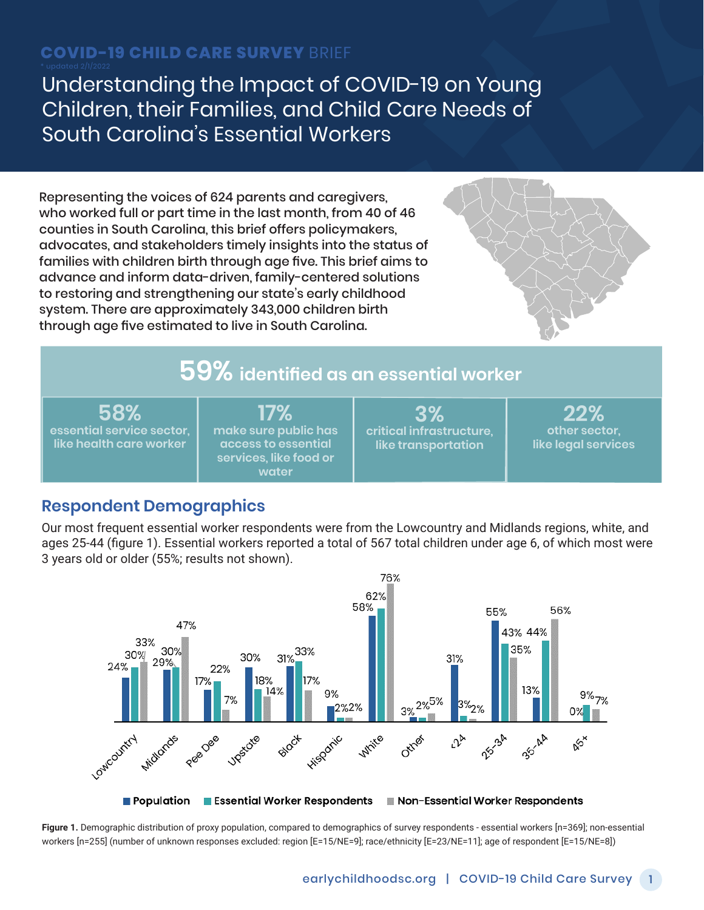# **COVID-19 CHILD CARE SURVEY** BRIEF

Understanding the Impact of COVID-19 on Young Children, their Families, and Child Care Needs of South Carolina's Essential Workers

Representing the voices of 624 parents and caregivers, who worked full or part time in the last month, from 40 of 46 counties in South Carolina, this brief offers policymakers, advocates, and stakeholders timely insights into the status of families with children birth through age five. This brief aims to advance and inform data-driven, family-centered solutions to restoring and strengthening our state's early childhood system. There are approximately 343,000 children birth through age five estimated to live in South Carolina.



# **59% identified as an essential worker**

**58% essential service sector, like health care worker**

**17% make sure public has access to essential services, like food or water**

**3% critical infrastructure, like transportation**

**22% other sector, like legal services**

# **Respondent Demographics**

Our most frequent essential worker respondents were from the Lowcountry and Midlands regions, white, and ages 25-44 (figure 1). Essential workers reported a total of 567 total children under age 6, of which most were 3 years old or older (55%; results not shown).



**Figure 1.** Demographic distribution of proxy population, compared to demographics of survey respondents - essential workers [n=369]; non-essential workers [n=255] (number of unknown responses excluded: region [E=15/NE=9]; race/ethnicity [E=23/NE=11]; age of respondent [E=15/NE=8])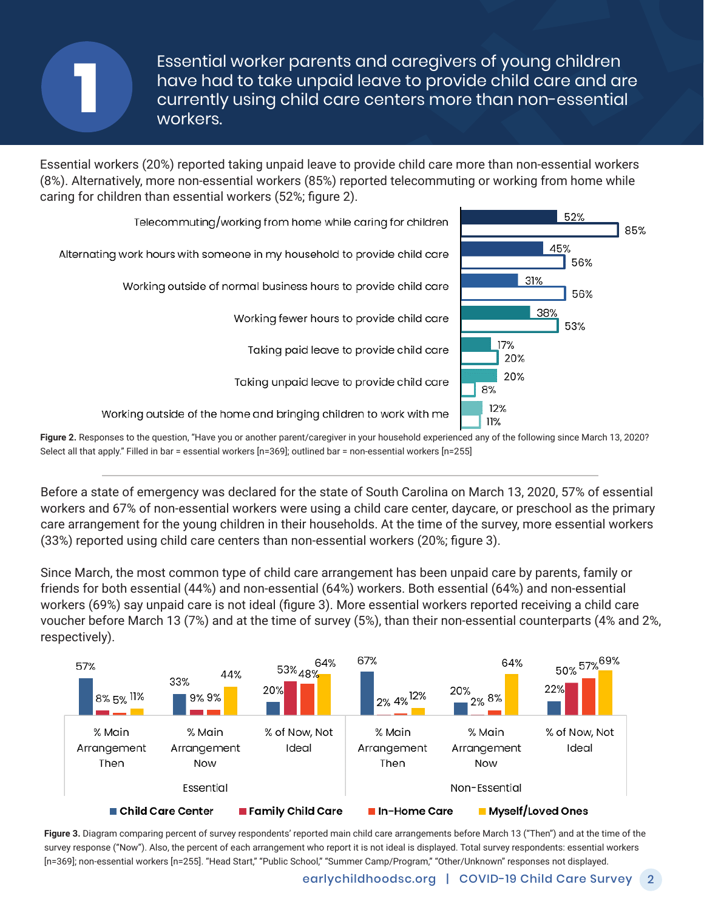Essential worker parents and caregivers of young children have had to take unpaid leave to provide child care and are currently using child care centers more than non-essential workers. workers.

Essential workers (20%) reported taking unpaid leave to provide child care more than non-essential workers (8%). Alternatively, more non-essential workers (85%) reported telecommuting or working from home while caring for children than essential workers (52%; figure 2).



Figure 2. Responses to the question, "Have you or another parent/caregiver in your household experienced any of the following since March 13, 2020? Select all that apply." Filled in bar = essential workers [n=369]; outlined bar = non-essential workers [n=255]

Before a state of emergency was declared for the state of South Carolina on March 13, 2020, 57% of essential workers and 67% of non-essential workers were using a child care center, daycare, or preschool as the primary care arrangement for the young children in their households. At the time of the survey, more essential workers (33%) reported using child care centers than non-essential workers (20%; figure 3).

Since March, the most common type of child care arrangement has been unpaid care by parents, family or friends for both essential (44%) and non-essential (64%) workers. Both essential (64%) and non-essential workers (69%) say unpaid care is not ideal (figure 3). More essential workers reported receiving a child care voucher before March 13 (7%) and at the time of survey (5%), than their non-essential counterparts (4% and 2%, respectively).



**Figure 3.** Diagram comparing percent of survey respondents' reported main child care arrangements before March 13 ("Then") and at the time of the survey response ("Now"). Also, the percent of each arrangement who report it is not ideal is displayed. Total survey respondents: essential workers [n=369]; non-essential workers [n=255]. "Head Start," "Public School," "Summer Camp/Program," "Other/Unknown" responses not displayed.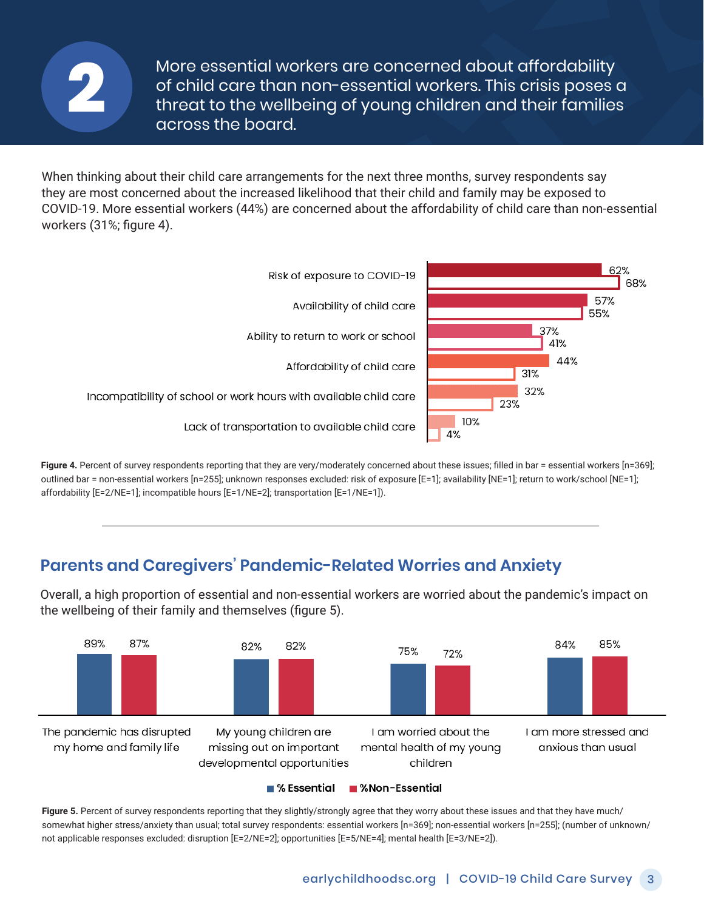

More essential workers are concerned about affordability of child care than non-essential workers. This crisis poses a of child care than non-essential workers. This crisis poses a<br>threat to the wellbeing of young children and their families<br>across the board. across the board.

When thinking about their child care arrangements for the next three months, survey respondents say they are most concerned about the increased likelihood that their child and family may be exposed to COVID-19. More essential workers (44%) are concerned about the affordability of child care than non-essential workers (31%; figure 4).



Figure 4. Percent of survey respondents reporting that they are very/moderately concerned about these issues; filled in bar = essential workers [n=369]; outlined bar = non-essential workers [n=255]; unknown responses excluded: risk of exposure [E=1]; availability [NE=1]; return to work/school [NE=1]; affordability [E=2/NE=1]; incompatible hours [E=1/NE=2]; transportation [E=1/NE=1]).

### **Parents and Caregivers' Pandemic-Related Worries and Anxiety**

Overall, a high proportion of essential and non-essential workers are worried about the pandemic's impact on the wellbeing of their family and themselves (figure 5).



■ % Essential ■ %Non-Essential

Figure 5. Percent of survey respondents reporting that they slightly/strongly agree that they worry about these issues and that they have much/ somewhat higher stress/anxiety than usual; total survey respondents: essential workers [n=369]; non-essential workers [n=255]; (number of unknown/ not applicable responses excluded: disruption [E=2/NE=2]; opportunities [E=5/NE=4]; mental health [E=3/NE=2]).